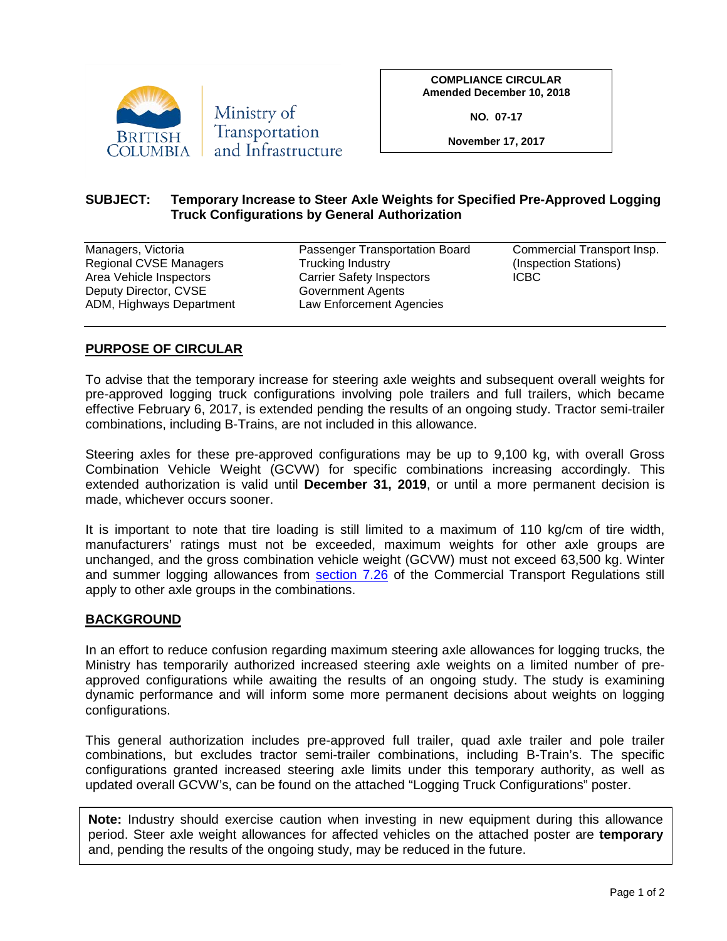

**COMPLIANCE CIRCULAR Amended December 10, 2018**

**NO. 07-17**

**November 17, 2017**

## **SUBJECT: Temporary Increase to Steer Axle Weights for Specified Pre-Approved Logging Truck Configurations by General Authorization**

| Managers, Victoria       | Passenger Transportation Board   | Commercial Transport Insp. |
|--------------------------|----------------------------------|----------------------------|
| Regional CVSE Managers   | Trucking Industry                | (Inspection Stations)      |
| Area Vehicle Inspectors  | <b>Carrier Safety Inspectors</b> | <b>ICBC</b>                |
| Deputy Director, CVSE    | Government Agents                |                            |
| ADM, Highways Department | Law Enforcement Agencies         |                            |

## **PURPOSE OF CIRCULAR**

To advise that the temporary increase for steering axle weights and subsequent overall weights for pre-approved logging truck configurations involving pole trailers and full trailers, which became effective February 6, 2017, is extended pending the results of an ongoing study. Tractor semi-trailer combinations, including B-Trains, are not included in this allowance.

Steering axles for these pre-approved configurations may be up to 9,100 kg, with overall Gross Combination Vehicle Weight (GCVW) for specific combinations increasing accordingly. This extended authorization is valid until **December 31, 2019**, or until a more permanent decision is made, whichever occurs sooner.

It is important to note that tire loading is still limited to a maximum of 110 kg/cm of tire width, manufacturers' ratings must not be exceeded, maximum weights for other axle groups are unchanged, and the gross combination vehicle weight (GCVW) must not exceed 63,500 kg. Winter and summer logging allowances from [section 7.26](http://www.bclaws.ca/civix/document/id/complete/statreg/30_78#section7.26) of the Commercial Transport Regulations still apply to other axle groups in the combinations.

## **BACKGROUND**

In an effort to reduce confusion regarding maximum steering axle allowances for logging trucks, the Ministry has temporarily authorized increased steering axle weights on a limited number of preapproved configurations while awaiting the results of an ongoing study. The study is examining dynamic performance and will inform some more permanent decisions about weights on logging configurations.

This general authorization includes pre-approved full trailer, quad axle trailer and pole trailer combinations, but excludes tractor semi-trailer combinations, including B-Train's. The specific configurations granted increased steering axle limits under this temporary authority, as well as updated overall GCVW's, can be found on the attached "Logging Truck Configurations" poster.

**Note:** Industry should exercise caution when investing in new equipment during this allowance period. Steer axle weight allowances for affected vehicles on the attached poster are **temporary** and, pending the results of the ongoing study, may be reduced in the future.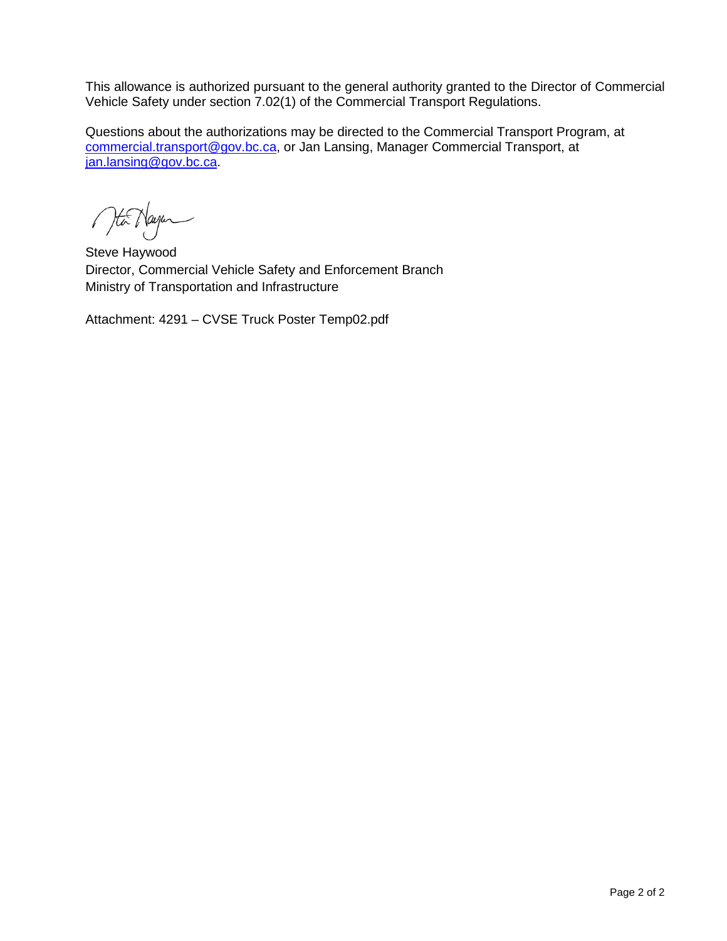This allowance is authorized pursuant to the general authority granted to the Director of Commercial Vehicle Safety under section 7.02(1) of the Commercial Transport Regulations.

Questions about the authorizations may be directed to the Commercial Transport Program, at [commercial.transport@gov.bc.ca,](mailto:commercial.transport@gov.bc.ca) or Jan Lansing, Manager Commercial Transport, at [jan.lansing@gov.bc.ca.](mailto:jan.lansing@gov.bc.ca)

Ma Nayer

Steve Haywood Director, Commercial Vehicle Safety and Enforcement Branch Ministry of Transportation and Infrastructure

Attachment: 4291 – CVSE Truck Poster Temp02.pdf